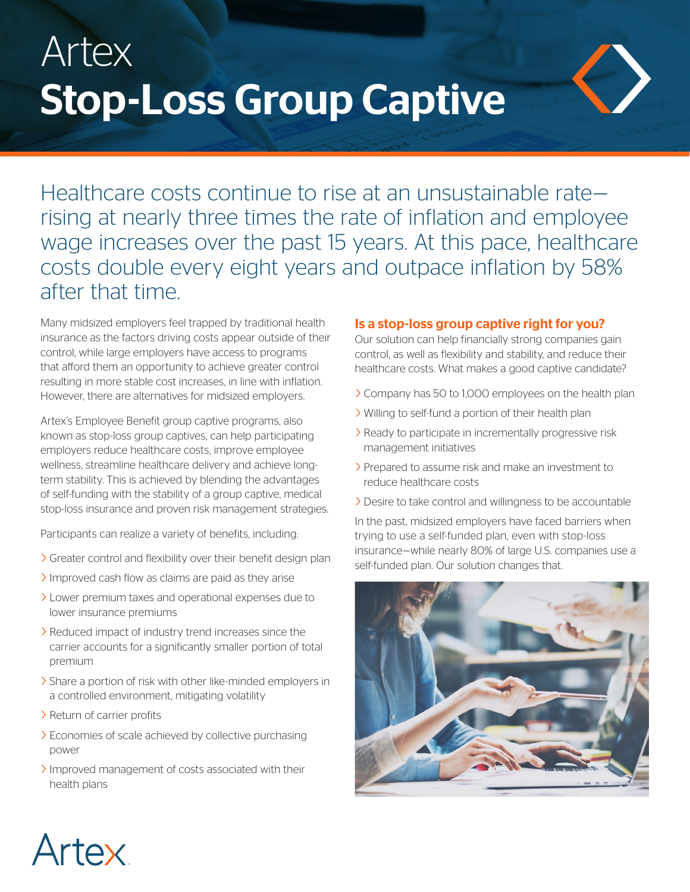## Artex Stop-Loss Group Captive



Healthcare costs continue to rise at an unsustainable rate rising at nearly three times the rate of inflation and employee wage increases over the past 15 years. At this pace, healthcare costs double every eight years and outpace inflation by 58% after that time.

Many midsized employers feel trapped by traditional health insurance as the factors driving costs appear outside of their control, while large employers have access to programs that afford them an opportunity to achieve greater control resulting in more stable cost increases, in line with inflation. However, there are alternatives for midsized employers.

Artex's Employee Benefit group captive programs, also known as stop-loss group captives, can help participating employers reduce healthcare costs, improve employee wellness, streamline healthcare delivery and achieve longterm stability. This is achieved by blending the advantages of self-funding with the stability of a group captive, medical stop-loss insurance and proven risk management strategies.

Participants can realize a variety of benefits, including:

- > Greater control and flexibility over their benefit design plan
- Improved cash flow as claims are paid as they arise
- > Lower premium taxes and operational expenses due to lower insurance premiums
- > Reduced impact of industry trend increases since the carrier accounts for a significantly smaller portion of total premium
- > Share a portion of risk with other like-minded employers in a controlled environment, mitigating volatility
- > Return of carrier profits
- > Economies of scale achieved by collective purchasing power
- > Improved management of costs associated with their health plans

#### Is a stop-loss group captive right for you?

Our solution can help financially strong companies gain control, as well as flexibility and stability, and reduce their healthcare costs. What makes a good captive candidate?

- > Company has 50 to 1,000 employees on the health plan
- > Willing to self-fund a portion of their health plan
- > Ready to participate in incrementally progressive risk management initiatives
- > Prepared to assume risk and make an investment to reduce healthcare costs
- > Desire to take control and willingness to be accountable

In the past, midsized employers have faced barriers when trying to use a self-funded plan, even with stop-loss insurance—while nearly 80% of large U.S. companies use a self-funded plan. Our solution changes that.



#### Artex ®